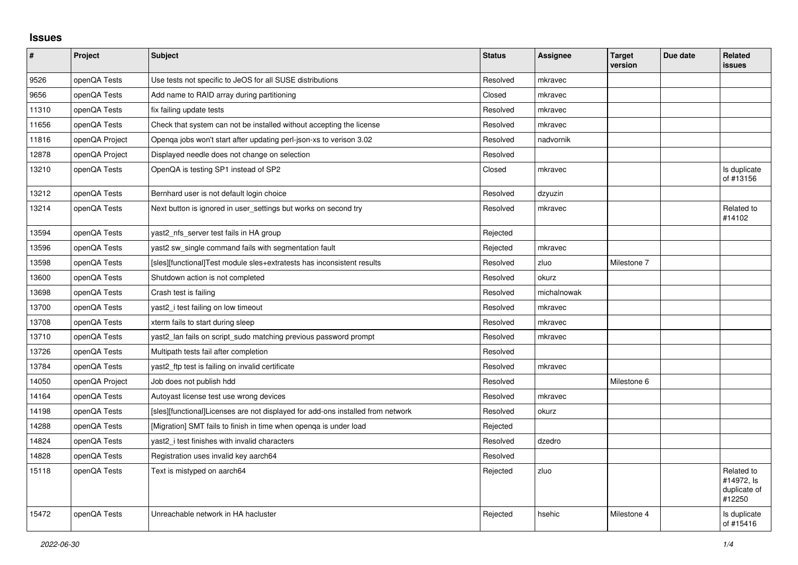## **Issues**

| $\vert$ # | Project        | <b>Subject</b>                                                                  | <b>Status</b> | Assignee    | <b>Target</b><br>version | Due date | <b>Related</b><br>issues                           |
|-----------|----------------|---------------------------------------------------------------------------------|---------------|-------------|--------------------------|----------|----------------------------------------------------|
| 9526      | openQA Tests   | Use tests not specific to JeOS for all SUSE distributions                       | Resolved      | mkravec     |                          |          |                                                    |
| 9656      | openQA Tests   | Add name to RAID array during partitioning                                      | Closed        | mkravec     |                          |          |                                                    |
| 11310     | openQA Tests   | fix failing update tests                                                        | Resolved      | mkravec     |                          |          |                                                    |
| 11656     | openQA Tests   | Check that system can not be installed without accepting the license            | Resolved      | mkravec     |                          |          |                                                    |
| 11816     | openQA Project | Openqa jobs won't start after updating perl-json-xs to verison 3.02             | Resolved      | nadvornik   |                          |          |                                                    |
| 12878     | openQA Project | Displayed needle does not change on selection                                   | Resolved      |             |                          |          |                                                    |
| 13210     | openQA Tests   | OpenQA is testing SP1 instead of SP2                                            | Closed        | mkravec     |                          |          | Is duplicate<br>of #13156                          |
| 13212     | openQA Tests   | Bernhard user is not default login choice                                       | Resolved      | dzyuzin     |                          |          |                                                    |
| 13214     | openQA Tests   | Next button is ignored in user settings but works on second try                 | Resolved      | mkravec     |                          |          | Related to<br>#14102                               |
| 13594     | openQA Tests   | yast2_nfs_server test fails in HA group                                         | Rejected      |             |                          |          |                                                    |
| 13596     | openQA Tests   | yast2 sw_single command fails with segmentation fault                           | Rejected      | mkravec     |                          |          |                                                    |
| 13598     | openQA Tests   | [sles][functional]Test module sles+extratests has inconsistent results          | Resolved      | zluo        | Milestone 7              |          |                                                    |
| 13600     | openQA Tests   | Shutdown action is not completed                                                | Resolved      | okurz       |                          |          |                                                    |
| 13698     | openQA Tests   | Crash test is failing                                                           | Resolved      | michalnowak |                          |          |                                                    |
| 13700     | openQA Tests   | yast2_i test failing on low timeout                                             | Resolved      | mkravec     |                          |          |                                                    |
| 13708     | openQA Tests   | xterm fails to start during sleep                                               | Resolved      | mkravec     |                          |          |                                                    |
| 13710     | openQA Tests   | yast2_lan fails on script_sudo matching previous password prompt                | Resolved      | mkravec     |                          |          |                                                    |
| 13726     | openQA Tests   | Multipath tests fail after completion                                           | Resolved      |             |                          |          |                                                    |
| 13784     | openQA Tests   | yast2 ftp test is failing on invalid certificate                                | Resolved      | mkravec     |                          |          |                                                    |
| 14050     | openQA Project | Job does not publish hdd                                                        | Resolved      |             | Milestone 6              |          |                                                    |
| 14164     | openQA Tests   | Autoyast license test use wrong devices                                         | Resolved      | mkravec     |                          |          |                                                    |
| 14198     | openQA Tests   | [sles][functional]Licenses are not displayed for add-ons installed from network | Resolved      | okurz       |                          |          |                                                    |
| 14288     | openQA Tests   | [Migration] SMT fails to finish in time when openga is under load               | Rejected      |             |                          |          |                                                    |
| 14824     | openQA Tests   | yast2 i test finishes with invalid characters                                   | Resolved      | dzedro      |                          |          |                                                    |
| 14828     | openQA Tests   | Registration uses invalid key aarch64                                           | Resolved      |             |                          |          |                                                    |
| 15118     | openQA Tests   | Text is mistyped on aarch64                                                     | Rejected      | zluo        |                          |          | Related to<br>#14972, Is<br>duplicate of<br>#12250 |
| 15472     | openQA Tests   | Unreachable network in HA hacluster                                             | Rejected      | hsehic      | Milestone 4              |          | Is duplicate<br>of #15416                          |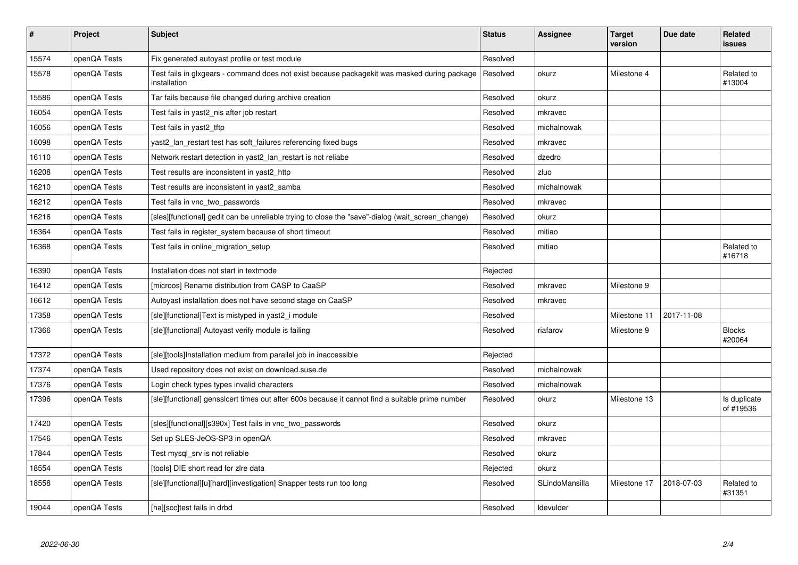| $\sharp$ | Project      | <b>Subject</b>                                                                                               | <b>Status</b> | <b>Assignee</b> | <b>Target</b><br>version | Due date   | Related<br><b>issues</b>  |
|----------|--------------|--------------------------------------------------------------------------------------------------------------|---------------|-----------------|--------------------------|------------|---------------------------|
| 15574    | openQA Tests | Fix generated autoyast profile or test module                                                                | Resolved      |                 |                          |            |                           |
| 15578    | openQA Tests | Test fails in glxgears - command does not exist because packagekit was masked during package<br>installation | Resolved      | okurz           | Milestone 4              |            | Related to<br>#13004      |
| 15586    | openQA Tests | Tar fails because file changed during archive creation                                                       | Resolved      | okurz           |                          |            |                           |
| 16054    | openQA Tests | Test fails in yast2 nis after job restart                                                                    | Resolved      | mkravec         |                          |            |                           |
| 16056    | openQA Tests | Test fails in yast2 tftp                                                                                     | Resolved      | michalnowak     |                          |            |                           |
| 16098    | openQA Tests | yast2_lan_restart test has soft_failures referencing fixed bugs                                              | Resolved      | mkravec         |                          |            |                           |
| 16110    | openQA Tests | Network restart detection in yast2_lan_restart is not reliabe                                                | Resolved      | dzedro          |                          |            |                           |
| 16208    | openQA Tests | Test results are inconsistent in yast2 http                                                                  | Resolved      | zluo            |                          |            |                           |
| 16210    | openQA Tests | Test results are inconsistent in yast2_samba                                                                 | Resolved      | michalnowak     |                          |            |                           |
| 16212    | openQA Tests | Test fails in vnc two passwords                                                                              | Resolved      | mkravec         |                          |            |                           |
| 16216    | openQA Tests | [sles][functional] gedit can be unreliable trying to close the "save"-dialog (wait screen change)            | Resolved      | okurz           |                          |            |                           |
| 16364    | openQA Tests | Test fails in register_system because of short timeout                                                       | Resolved      | mitiao          |                          |            |                           |
| 16368    | openQA Tests | Test fails in online_migration_setup                                                                         | Resolved      | mitiao          |                          |            | Related to<br>#16718      |
| 16390    | openQA Tests | Installation does not start in textmode                                                                      | Rejected      |                 |                          |            |                           |
| 16412    | openQA Tests | [microos] Rename distribution from CASP to CaaSP                                                             | Resolved      | mkravec         | Milestone 9              |            |                           |
| 16612    | openQA Tests | Autoyast installation does not have second stage on CaaSP                                                    | Resolved      | mkravec         |                          |            |                           |
| 17358    | openQA Tests | [sle][functional]Text is mistyped in yast2_i module                                                          | Resolved      |                 | Milestone 11             | 2017-11-08 |                           |
| 17366    | openQA Tests | [sle][functional] Autoyast verify module is failing                                                          | Resolved      | riafarov        | Milestone 9              |            | <b>Blocks</b><br>#20064   |
| 17372    | openQA Tests | [sle][tools]Installation medium from parallel job in inaccessible                                            | Rejected      |                 |                          |            |                           |
| 17374    | openQA Tests | Used repository does not exist on download.suse.de                                                           | Resolved      | michalnowak     |                          |            |                           |
| 17376    | openQA Tests | Login check types types invalid characters                                                                   | Resolved      | michalnowak     |                          |            |                           |
| 17396    | openQA Tests | [sle][functional] gensslcert times out after 600s because it cannot find a suitable prime number             | Resolved      | okurz           | Milestone 13             |            | Is duplicate<br>of #19536 |
| 17420    | openQA Tests | [sles][functional][s390x] Test fails in vnc two passwords                                                    | Resolved      | okurz           |                          |            |                           |
| 17546    | openQA Tests | Set up SLES-JeOS-SP3 in openQA                                                                               | Resolved      | mkravec         |                          |            |                           |
| 17844    | openQA Tests | Test mysql_srv is not reliable                                                                               | Resolved      | okurz           |                          |            |                           |
| 18554    | openQA Tests | [tools] DIE short read for zire data                                                                         | Rejected      | okurz           |                          |            |                           |
| 18558    | openQA Tests | [sle][functional][u][hard][investigation] Snapper tests run too long                                         | Resolved      | SLindoMansilla  | Milestone 17             | 2018-07-03 | Related to<br>#31351      |
| 19044    | openQA Tests | [ha][scc]test fails in drbd                                                                                  | Resolved      | Idevulder       |                          |            |                           |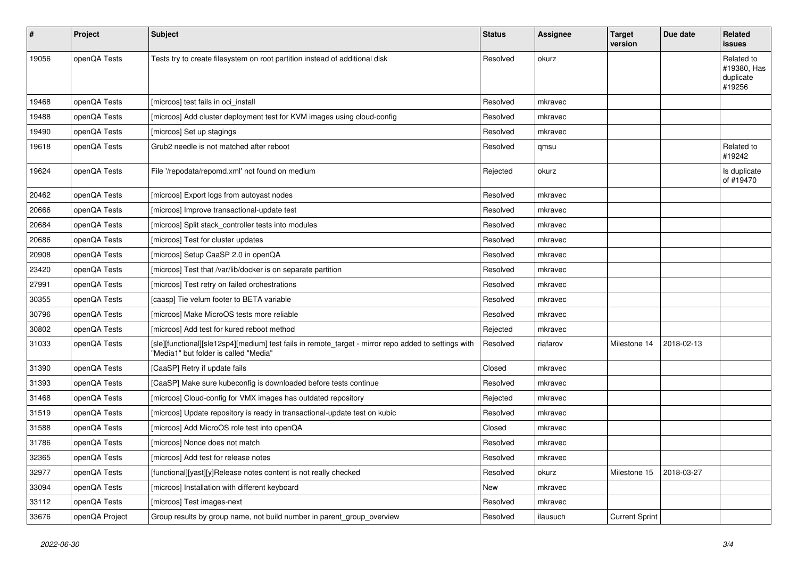| #     | Project        | Subject                                                                                                                                       | <b>Status</b> | <b>Assignee</b> | <b>Target</b><br>version | Due date   | Related<br><b>issues</b>                         |
|-------|----------------|-----------------------------------------------------------------------------------------------------------------------------------------------|---------------|-----------------|--------------------------|------------|--------------------------------------------------|
| 19056 | openQA Tests   | Tests try to create filesystem on root partition instead of additional disk                                                                   | Resolved      | okurz           |                          |            | Related to<br>#19380, Has<br>duplicate<br>#19256 |
| 19468 | openQA Tests   | [microos] test fails in oci install                                                                                                           | Resolved      | mkravec         |                          |            |                                                  |
| 19488 | openQA Tests   | [microos] Add cluster deployment test for KVM images using cloud-config                                                                       | Resolved      | mkravec         |                          |            |                                                  |
| 19490 | openQA Tests   | [microos] Set up stagings                                                                                                                     | Resolved      | mkravec         |                          |            |                                                  |
| 19618 | openQA Tests   | Grub2 needle is not matched after reboot                                                                                                      | Resolved      | qmsu            |                          |            | Related to<br>#19242                             |
| 19624 | openQA Tests   | File '/repodata/repomd.xml' not found on medium                                                                                               | Rejected      | okurz           |                          |            | Is duplicate<br>of #19470                        |
| 20462 | openQA Tests   | [microos] Export logs from autoyast nodes                                                                                                     | Resolved      | mkravec         |                          |            |                                                  |
| 20666 | openQA Tests   | [microos] Improve transactional-update test                                                                                                   | Resolved      | mkravec         |                          |            |                                                  |
| 20684 | openQA Tests   | [microos] Split stack controller tests into modules                                                                                           | Resolved      | mkravec         |                          |            |                                                  |
| 20686 | openQA Tests   | [microos] Test for cluster updates                                                                                                            | Resolved      | mkravec         |                          |            |                                                  |
| 20908 | openQA Tests   | [microos] Setup CaaSP 2.0 in openQA                                                                                                           | Resolved      | mkravec         |                          |            |                                                  |
| 23420 | openQA Tests   | [microos] Test that /var/lib/docker is on separate partition                                                                                  | Resolved      | mkravec         |                          |            |                                                  |
| 27991 | openQA Tests   | [microos] Test retry on failed orchestrations                                                                                                 | Resolved      | mkravec         |                          |            |                                                  |
| 30355 | openQA Tests   | [caasp] Tie velum footer to BETA variable                                                                                                     | Resolved      | mkravec         |                          |            |                                                  |
| 30796 | openQA Tests   | [microos] Make MicroOS tests more reliable                                                                                                    | Resolved      | mkravec         |                          |            |                                                  |
| 30802 | openQA Tests   | [microos] Add test for kured reboot method                                                                                                    | Rejected      | mkravec         |                          |            |                                                  |
| 31033 | openQA Tests   | [sle][functional][sle12sp4][medium] test fails in remote_target - mirror repo added to settings with<br>"Media1" but folder is called "Media" | Resolved      | riafarov        | Milestone 14             | 2018-02-13 |                                                  |
| 31390 | openQA Tests   | [CaaSP] Retry if update fails                                                                                                                 | Closed        | mkravec         |                          |            |                                                  |
| 31393 | openQA Tests   | [CaaSP] Make sure kubeconfig is downloaded before tests continue                                                                              | Resolved      | mkravec         |                          |            |                                                  |
| 31468 | openQA Tests   | [microos] Cloud-config for VMX images has outdated repository                                                                                 | Rejected      | mkravec         |                          |            |                                                  |
| 31519 | openQA Tests   | [microos] Update repository is ready in transactional-update test on kubic                                                                    | Resolved      | mkravec         |                          |            |                                                  |
| 31588 | openQA Tests   | [microos] Add MicroOS role test into openQA                                                                                                   | Closed        | mkravec         |                          |            |                                                  |
| 31786 | openQA Tests   | [microos] Nonce does not match                                                                                                                | Resolved      | mkravec         |                          |            |                                                  |
| 32365 | openQA Tests   | [microos] Add test for release notes                                                                                                          | Resolved      | mkravec         |                          |            |                                                  |
| 32977 | openQA Tests   | [functional][yast][y]Release notes content is not really checked                                                                              | Resolved      | okurz           | Milestone 15             | 2018-03-27 |                                                  |
| 33094 | openQA Tests   | [microos] Installation with different keyboard                                                                                                | New           | mkravec         |                          |            |                                                  |
| 33112 | openQA Tests   | [microos] Test images-next                                                                                                                    | Resolved      | mkravec         |                          |            |                                                  |
| 33676 | openQA Project | Group results by group name, not build number in parent_group_overview                                                                        | Resolved      | ilausuch        | <b>Current Sprint</b>    |            |                                                  |